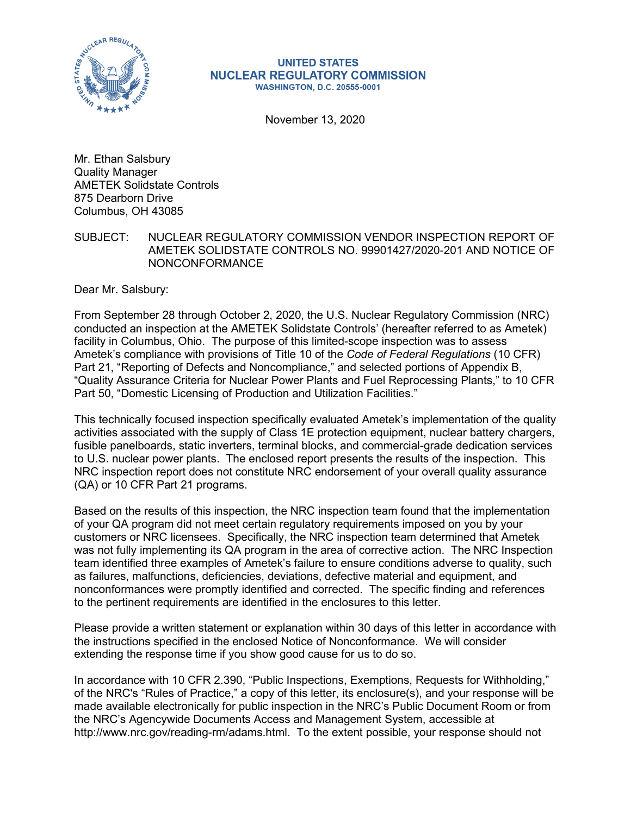

#### **UNITED STATES NUCLEAR REGULATORY COMMISSION WASHINGTON, D.C. 20555-0001**

November 13, 2020

Mr. Ethan Salsbury Quality Manager AMETEK Solidstate Controls 875 Dearborn Drive Columbus, OH 43085

SUBJECT: NUCLEAR REGULATORY COMMISSION VENDOR INSPECTION REPORT OF AMETEK SOLIDSTATE CONTROLS NO. 99901427/2020-201 AND NOTICE OF NONCONFORMANCE

Dear Mr. Salsbury:

From September 28 through October 2, 2020, the U.S. Nuclear Regulatory Commission (NRC) conducted an inspection at the AMETEK Solidstate Controls' (hereafter referred to as Ametek) facility in Columbus, Ohio. The purpose of this limited-scope inspection was to assess Ametek's compliance with provisions of Title 10 of the *Code of Federal Regulations* (10 CFR) Part 21, "Reporting of Defects and Noncompliance," and selected portions of Appendix B, "Quality Assurance Criteria for Nuclear Power Plants and Fuel Reprocessing Plants," to 10 CFR Part 50, "Domestic Licensing of Production and Utilization Facilities."

This technically focused inspection specifically evaluated Ametek's implementation of the quality activities associated with the supply of Class 1E protection equipment, nuclear battery chargers, fusible panelboards, static inverters, terminal blocks, and commercial-grade dedication services to U.S. nuclear power plants. The enclosed report presents the results of the inspection. This NRC inspection report does not constitute NRC endorsement of your overall quality assurance (QA) or 10 CFR Part 21 programs.

Based on the results of this inspection, the NRC inspection team found that the implementation of your QA program did not meet certain regulatory requirements imposed on you by your customers or NRC licensees. Specifically, the NRC inspection team determined that Ametek was not fully implementing its QA program in the area of corrective action. The NRC Inspection team identified three examples of Ametek's failure to ensure conditions adverse to quality, such as failures, malfunctions, deficiencies, deviations, defective material and equipment, and nonconformances were promptly identified and corrected. The specific finding and references to the pertinent requirements are identified in the enclosures to this letter.

Please provide a written statement or explanation within 30 days of this letter in accordance with the instructions specified in the enclosed Notice of Nonconformance. We will consider extending the response time if you show good cause for us to do so.

In accordance with 10 CFR 2.390, "Public Inspections, Exemptions, Requests for Withholding," of the NRC's "Rules of Practice," a copy of this letter, its enclosure(s), and your response will be made available electronically for public inspection in the NRC's Public Document Room or from the NRC's Agencywide Documents Access and Management System, accessible at http://www.nrc.gov/reading-rm/adams.html. To the extent possible, your response should not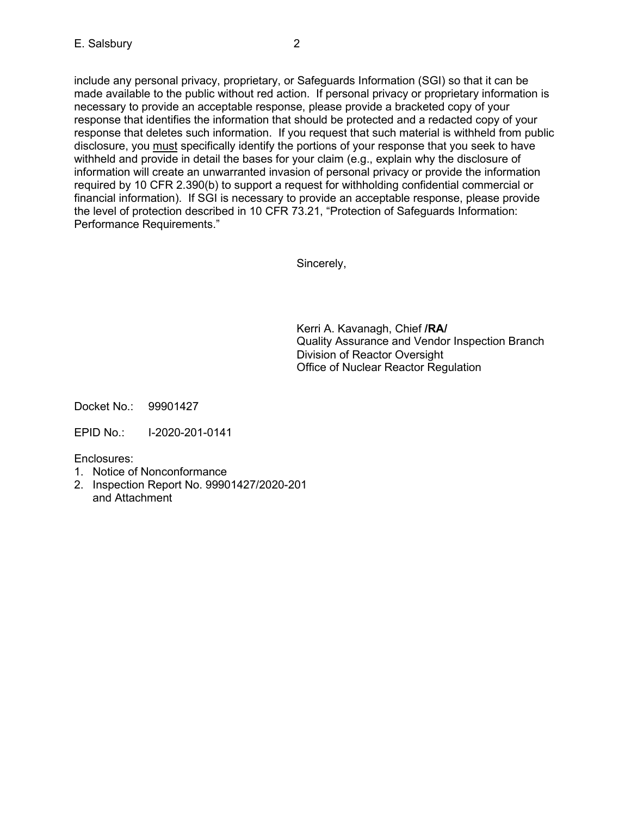include any personal privacy, proprietary, or Safeguards Information (SGI) so that it can be made available to the public without red action. If personal privacy or proprietary information is necessary to provide an acceptable response, please provide a bracketed copy of your response that identifies the information that should be protected and a redacted copy of your response that deletes such information. If you request that such material is withheld from public disclosure, you must specifically identify the portions of your response that you seek to have withheld and provide in detail the bases for your claim (e.g., explain why the disclosure of information will create an unwarranted invasion of personal privacy or provide the information required by 10 CFR 2.390(b) to support a request for withholding confidential commercial or financial information). If SGI is necessary to provide an acceptable response, please provide the level of protection described in 10 CFR 73.21, "Protection of Safeguards Information: Performance Requirements."

Sincerely,

Kerri A. Kavanagh, Chief **/RA/** Quality Assurance and Vendor Inspection Branch Division of Reactor Oversight Office of Nuclear Reactor Regulation

Docket No.: 99901427

EPID No.: I-2020-201-0141

Enclosures:

- 1. Notice of Nonconformance
- 2. Inspection Report No. 99901427/2020-201 and Attachment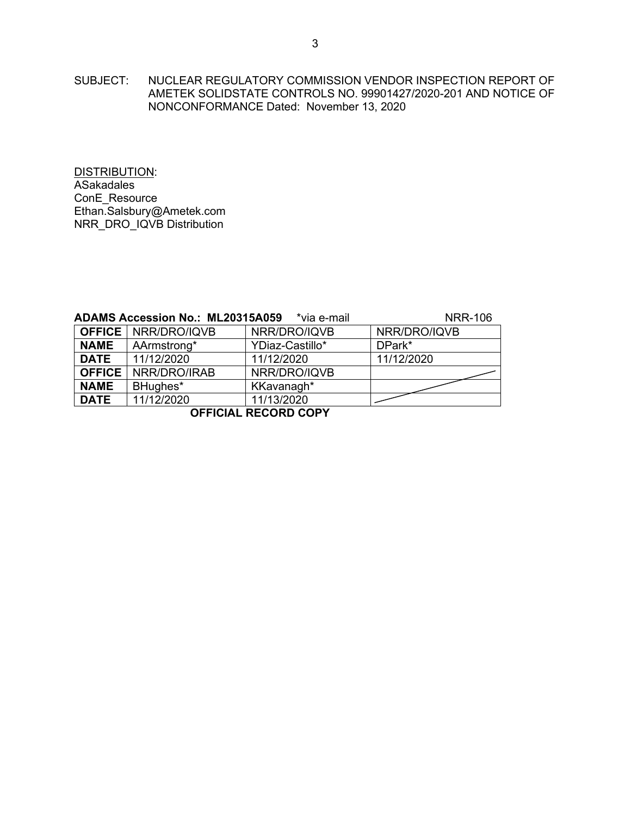SUBJECT: NUCLEAR REGULATORY COMMISSION VENDOR INSPECTION REPORT OF AMETEK SOLIDSTATE CONTROLS NO. 99901427/2020-201 AND NOTICE OF NONCONFORMANCE Dated: November 13, 2020

DISTRIBUTION: **ASakadales** ConE\_Resource Ethan.Salsbury@Ametek.com NRR\_DRO\_IQVB Distribution

|             | <b>ADAMS Accession No.: ML20315A059</b> | <b>NRR-106</b>  |              |  |  |
|-------------|-----------------------------------------|-----------------|--------------|--|--|
|             | <b>OFFICE</b>   NRR/DRO/IQVB            | NRR/DRO/IQVB    | NRR/DRO/IQVB |  |  |
| <b>NAME</b> | AArmstrong*                             | YDiaz-Castillo* | DPark*       |  |  |
| <b>DATE</b> | 11/12/2020                              | 11/12/2020      | 11/12/2020   |  |  |
|             | <b>OFFICE</b>   NRR/DRO/IRAB            | NRR/DRO/IQVB    |              |  |  |
| <b>NAME</b> | BHughes*                                | KKavanagh*      |              |  |  |
| <b>DATE</b> | 11/12/2020                              | 11/13/2020      |              |  |  |
|             |                                         |                 |              |  |  |

**OFFICIAL RECORD COPY**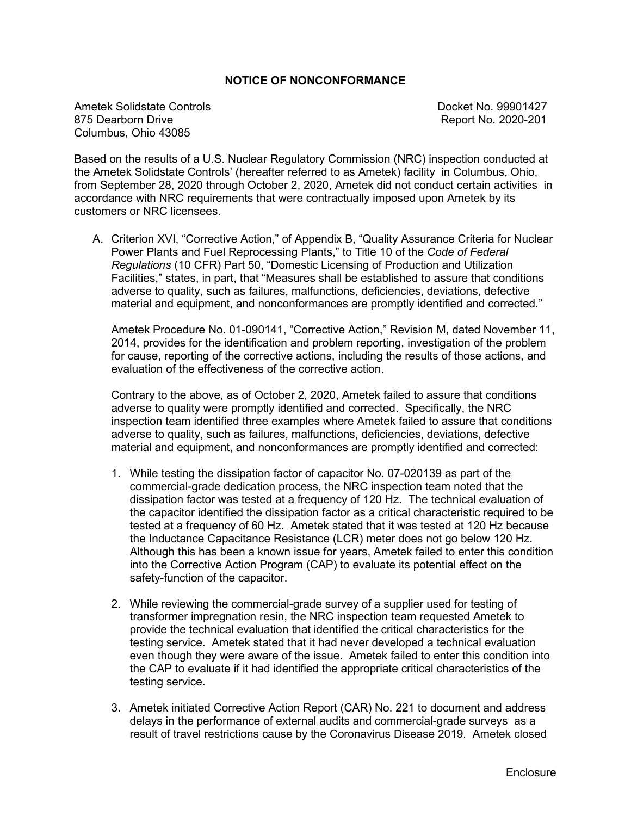# **NOTICE OF NONCONFORMANCE**

Ametek Solidstate Controls and Docket No. 99901427<br>1875 Dearborn Drive No. 2020-201 Columbus, Ohio 43085

Report No. 2020-201

Based on the results of a U.S. Nuclear Regulatory Commission (NRC) inspection conducted at the Ametek Solidstate Controls' (hereafter referred to as Ametek) facility in Columbus, Ohio, from September 28, 2020 through October 2, 2020, Ametek did not conduct certain activities in accordance with NRC requirements that were contractually imposed upon Ametek by its customers or NRC licensees.

A. Criterion XVI, "Corrective Action," of Appendix B, "Quality Assurance Criteria for Nuclear Power Plants and Fuel Reprocessing Plants," to Title 10 of the *Code of Federal Regulations* (10 CFR) Part 50, "Domestic Licensing of Production and Utilization Facilities," states, in part, that "Measures shall be established to assure that conditions adverse to quality, such as failures, malfunctions, deficiencies, deviations, defective material and equipment, and nonconformances are promptly identified and corrected."

Ametek Procedure No. 01-090141, "Corrective Action," Revision M, dated November 11, 2014, provides for the identification and problem reporting, investigation of the problem for cause, reporting of the corrective actions, including the results of those actions, and evaluation of the effectiveness of the corrective action.

Contrary to the above, as of October 2, 2020, Ametek failed to assure that conditions adverse to quality were promptly identified and corrected. Specifically, the NRC inspection team identified three examples where Ametek failed to assure that conditions adverse to quality, such as failures, malfunctions, deficiencies, deviations, defective material and equipment, and nonconformances are promptly identified and corrected:

- 1. While testing the dissipation factor of capacitor No. 07-020139 as part of the commercial-grade dedication process, the NRC inspection team noted that the dissipation factor was tested at a frequency of 120 Hz. The technical evaluation of the capacitor identified the dissipation factor as a critical characteristic required to be tested at a frequency of 60 Hz. Ametek stated that it was tested at 120 Hz because the Inductance Capacitance Resistance (LCR) meter does not go below 120 Hz. Although this has been a known issue for years, Ametek failed to enter this condition into the Corrective Action Program (CAP) to evaluate its potential effect on the safety-function of the capacitor.
- 2. While reviewing the commercial-grade survey of a supplier used for testing of transformer impregnation resin, the NRC inspection team requested Ametek to provide the technical evaluation that identified the critical characteristics for the testing service. Ametek stated that it had never developed a technical evaluation even though they were aware of the issue. Ametek failed to enter this condition into the CAP to evaluate if it had identified the appropriate critical characteristics of the testing service.
- 3. Ametek initiated Corrective Action Report (CAR) No. 221 to document and address delays in the performance of external audits and commercial-grade surveys as a result of travel restrictions cause by the Coronavirus Disease 2019. Ametek closed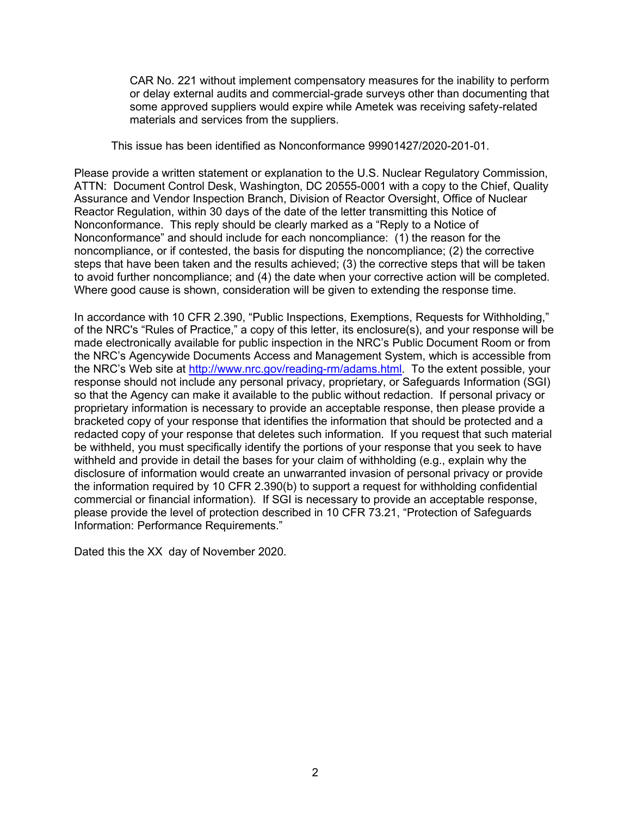CAR No. 221 without implement compensatory measures for the inability to perform or delay external audits and commercial-grade surveys other than documenting that some approved suppliers would expire while Ametek was receiving safety-related materials and services from the suppliers.

This issue has been identified as Nonconformance 99901427/2020-201-01.

Please provide a written statement or explanation to the U.S. Nuclear Regulatory Commission, ATTN: Document Control Desk, Washington, DC 20555-0001 with a copy to the Chief, Quality Assurance and Vendor Inspection Branch, Division of Reactor Oversight, Office of Nuclear Reactor Regulation, within 30 days of the date of the letter transmitting this Notice of Nonconformance. This reply should be clearly marked as a "Reply to a Notice of Nonconformance" and should include for each noncompliance: (1) the reason for the noncompliance, or if contested, the basis for disputing the noncompliance; (2) the corrective steps that have been taken and the results achieved; (3) the corrective steps that will be taken to avoid further noncompliance; and (4) the date when your corrective action will be completed. Where good cause is shown, consideration will be given to extending the response time.

In accordance with 10 CFR 2.390, "Public Inspections, Exemptions, Requests for Withholding," of the NRC's "Rules of Practice," a copy of this letter, its enclosure(s), and your response will be made electronically available for public inspection in the NRC's Public Document Room or from the NRC's Agencywide Documents Access and Management System, which is accessible from the NRC's Web site at [http://www.nrc.gov/reading-rm/adams.html.](http://www.nrc.gov/reading-rm/adams.html) To the extent possible, your response should not include any personal privacy, proprietary, or Safeguards Information (SGI) so that the Agency can make it available to the public without redaction. If personal privacy or proprietary information is necessary to provide an acceptable response, then please provide a bracketed copy of your response that identifies the information that should be protected and a redacted copy of your response that deletes such information. If you request that such material be withheld, you must specifically identify the portions of your response that you seek to have withheld and provide in detail the bases for your claim of withholding (e.g., explain why the disclosure of information would create an unwarranted invasion of personal privacy or provide the information required by 10 CFR 2.390(b) to support a request for withholding confidential commercial or financial information). If SGI is necessary to provide an acceptable response, please provide the level of protection described in 10 CFR 73.21, "Protection of Safeguards Information: Performance Requirements."

Dated this the XX day of November 2020.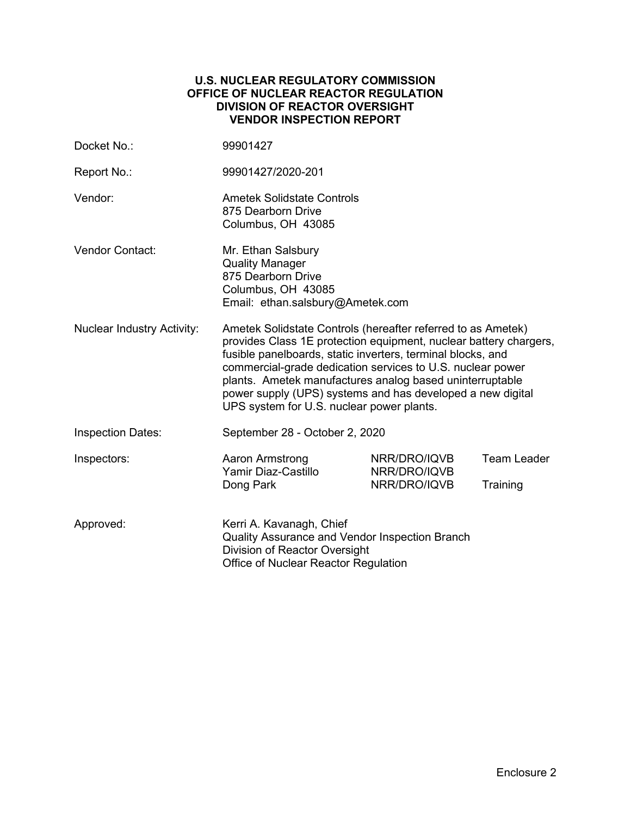## **U.S. NUCLEAR REGULATORY COMMISSION OFFICE OF NUCLEAR REACTOR REGULATION DIVISION OF REACTOR OVERSIGHT VENDOR INSPECTION REPORT**

| Docket No.:                       | 99901427                                                                                                                                                                                                                                                                                                                                                                                                                              |                              |                    |
|-----------------------------------|---------------------------------------------------------------------------------------------------------------------------------------------------------------------------------------------------------------------------------------------------------------------------------------------------------------------------------------------------------------------------------------------------------------------------------------|------------------------------|--------------------|
| Report No.:                       | 99901427/2020-201                                                                                                                                                                                                                                                                                                                                                                                                                     |                              |                    |
| Vendor:                           | <b>Ametek Solidstate Controls</b><br>875 Dearborn Drive<br>Columbus, OH 43085                                                                                                                                                                                                                                                                                                                                                         |                              |                    |
| <b>Vendor Contact:</b>            | Mr. Ethan Salsbury<br><b>Quality Manager</b><br>875 Dearborn Drive<br>Columbus, OH 43085<br>Email: ethan.salsbury@Ametek.com                                                                                                                                                                                                                                                                                                          |                              |                    |
| <b>Nuclear Industry Activity:</b> | Ametek Solidstate Controls (hereafter referred to as Ametek)<br>provides Class 1E protection equipment, nuclear battery chargers,<br>fusible panelboards, static inverters, terminal blocks, and<br>commercial-grade dedication services to U.S. nuclear power<br>plants. Ametek manufactures analog based uninterruptable<br>power supply (UPS) systems and has developed a new digital<br>UPS system for U.S. nuclear power plants. |                              |                    |
| <b>Inspection Dates:</b>          | September 28 - October 2, 2020                                                                                                                                                                                                                                                                                                                                                                                                        |                              |                    |
| Inspectors:                       | Aaron Armstrong<br>Yamir Diaz-Castillo                                                                                                                                                                                                                                                                                                                                                                                                | NRR/DRO/IQVB<br>NRR/DRO/IQVB | <b>Team Leader</b> |
|                                   | Dong Park                                                                                                                                                                                                                                                                                                                                                                                                                             | NRR/DRO/IQVB                 | Training           |
| Approved:                         | Kerri A. Kavanagh, Chief<br>Quality Assurance and Vendor Inspection Branch<br>Division of Reactor Oversight<br>Office of Nuclear Reactor Regulation                                                                                                                                                                                                                                                                                   |                              |                    |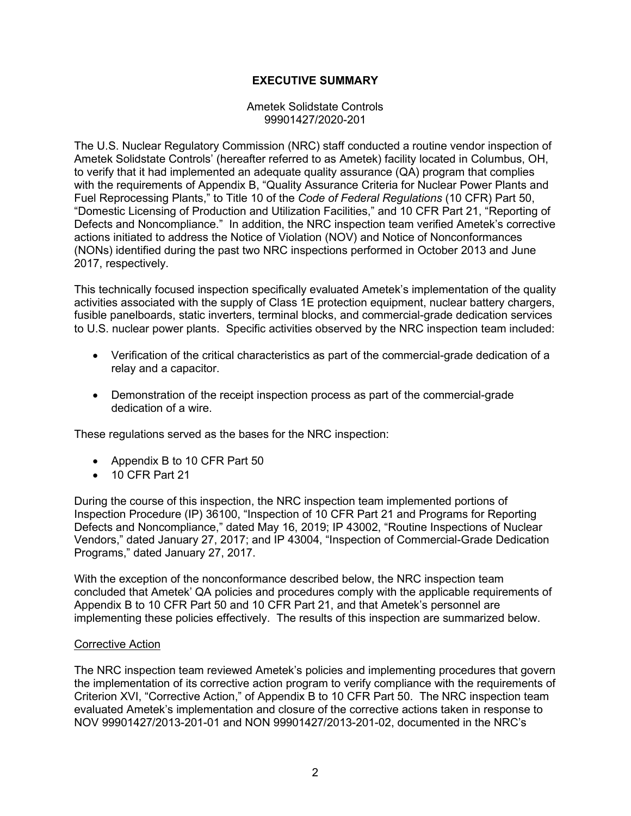# **EXECUTIVE SUMMARY**

Ametek Solidstate Controls 99901427/2020-201

The U.S. Nuclear Regulatory Commission (NRC) staff conducted a routine vendor inspection of Ametek Solidstate Controls' (hereafter referred to as Ametek) facility located in Columbus, OH, to verify that it had implemented an adequate quality assurance (QA) program that complies with the requirements of Appendix B, "Quality Assurance Criteria for Nuclear Power Plants and Fuel Reprocessing Plants," to Title 10 of the *Code of Federal Regulations* (10 CFR) Part 50, "Domestic Licensing of Production and Utilization Facilities," and 10 CFR Part 21, "Reporting of Defects and Noncompliance." In addition, the NRC inspection team verified Ametek's corrective actions initiated to address the Notice of Violation (NOV) and Notice of Nonconformances (NONs) identified during the past two NRC inspections performed in October 2013 and June 2017, respectively.

This technically focused inspection specifically evaluated Ametek's implementation of the quality activities associated with the supply of Class 1E protection equipment, nuclear battery chargers, fusible panelboards, static inverters, terminal blocks, and commercial-grade dedication services to U.S. nuclear power plants. Specific activities observed by the NRC inspection team included:

- Verification of the critical characteristics as part of the commercial-grade dedication of a relay and a capacitor.
- Demonstration of the receipt inspection process as part of the commercial-grade dedication of a wire.

These regulations served as the bases for the NRC inspection:

- Appendix B to 10 CFR Part 50
- 10 CFR Part 21

During the course of this inspection, the NRC inspection team implemented portions of Inspection Procedure (IP) 36100, "Inspection of 10 CFR Part 21 and Programs for Reporting Defects and Noncompliance," dated May 16, 2019; IP 43002, "Routine Inspections of Nuclear Vendors," dated January 27, 2017; and IP 43004, "Inspection of Commercial-Grade Dedication Programs," dated January 27, 2017.

With the exception of the nonconformance described below, the NRC inspection team concluded that Ametek' QA policies and procedures comply with the applicable requirements of Appendix B to 10 CFR Part 50 and 10 CFR Part 21, and that Ametek's personnel are implementing these policies effectively. The results of this inspection are summarized below.

#### Corrective Action

The NRC inspection team reviewed Ametek's policies and implementing procedures that govern the implementation of its corrective action program to verify compliance with the requirements of Criterion XVI, "Corrective Action," of Appendix B to 10 CFR Part 50. The NRC inspection team evaluated Ametek's implementation and closure of the corrective actions taken in response to NOV 99901427/2013-201-01 and NON 99901427/2013-201-02, documented in the NRC's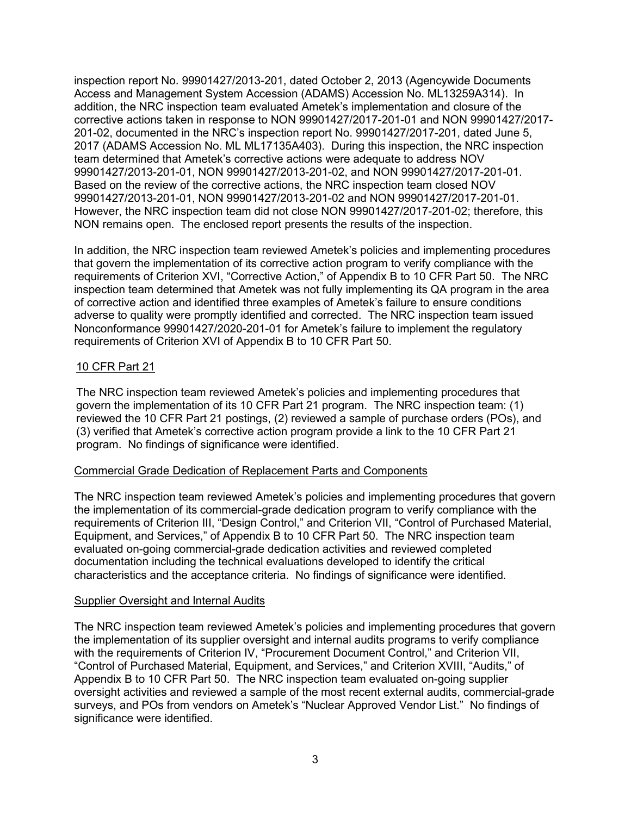inspection report No. 99901427/2013-201, dated October 2, 2013 (Agencywide Documents Access and Management System Accession (ADAMS) Accession No. ML13259A314). In addition, the NRC inspection team evaluated Ametek's implementation and closure of the corrective actions taken in response to NON 99901427/2017-201-01 and NON 99901427/2017- 201-02, documented in the NRC's inspection report No. 99901427/2017-201, dated June 5, 2017 (ADAMS Accession No. ML ML17135A403). During this inspection, the NRC inspection team determined that Ametek's corrective actions were adequate to address NOV 99901427/2013-201-01, NON 99901427/2013-201-02, and NON 99901427/2017-201-01. Based on the review of the corrective actions, the NRC inspection team closed NOV 99901427/2013-201-01, NON 99901427/2013-201-02 and NON 99901427/2017-201-01. However, the NRC inspection team did not close NON 99901427/2017-201-02; therefore, this NON remains open. The enclosed report presents the results of the inspection.

In addition, the NRC inspection team reviewed Ametek's policies and implementing procedures that govern the implementation of its corrective action program to verify compliance with the requirements of Criterion XVI, "Corrective Action," of Appendix B to 10 CFR Part 50. The NRC inspection team determined that Ametek was not fully implementing its QA program in the area of corrective action and identified three examples of Ametek's failure to ensure conditions adverse to quality were promptly identified and corrected. The NRC inspection team issued Nonconformance 99901427/2020-201-01 for Ametek's failure to implement the regulatory requirements of Criterion XVI of Appendix B to 10 CFR Part 50.

# 10 CFR Part 21

The NRC inspection team reviewed Ametek's policies and implementing procedures that govern the implementation of its 10 CFR Part 21 program. The NRC inspection team: (1) reviewed the 10 CFR Part 21 postings, (2) reviewed a sample of purchase orders (POs), and (3) verified that Ametek's corrective action program provide a link to the 10 CFR Part 21 program. No findings of significance were identified.

#### Commercial Grade Dedication of Replacement Parts and Components

The NRC inspection team reviewed Ametek's policies and implementing procedures that govern the implementation of its commercial-grade dedication program to verify compliance with the requirements of Criterion III, "Design Control," and Criterion VII, "Control of Purchased Material, Equipment, and Services," of Appendix B to 10 CFR Part 50. The NRC inspection team evaluated on-going commercial-grade dedication activities and reviewed completed documentation including the technical evaluations developed to identify the critical characteristics and the acceptance criteria. No findings of significance were identified.

#### Supplier Oversight and Internal Audits

The NRC inspection team reviewed Ametek's policies and implementing procedures that govern the implementation of its supplier oversight and internal audits programs to verify compliance with the requirements of Criterion IV, "Procurement Document Control," and Criterion VII, "Control of Purchased Material, Equipment, and Services," and Criterion XVIII, "Audits," of Appendix B to 10 CFR Part 50. The NRC inspection team evaluated on-going supplier oversight activities and reviewed a sample of the most recent external audits, commercial-grade surveys, and POs from vendors on Ametek's "Nuclear Approved Vendor List." No findings of significance were identified.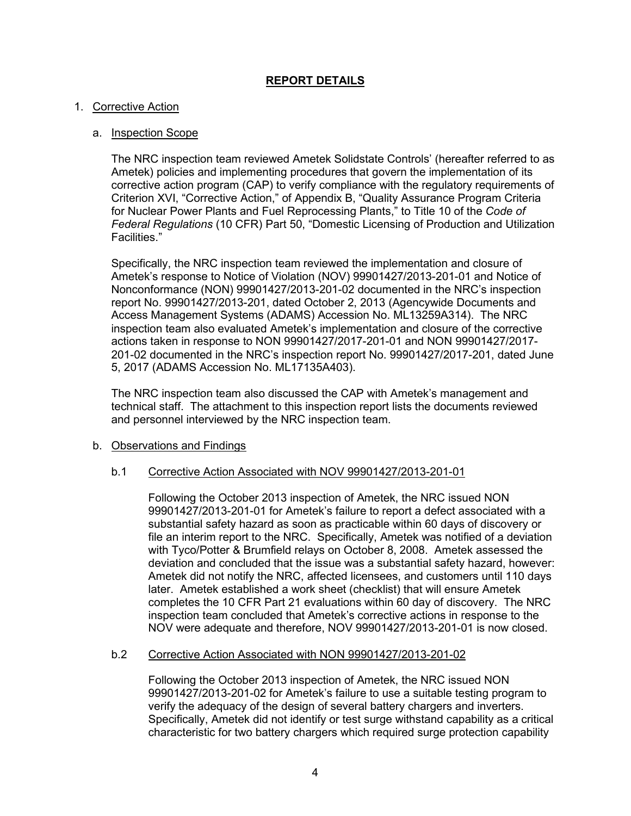# **REPORT DETAILS**

## 1. Corrective Action

## a. Inspection Scope

The NRC inspection team reviewed Ametek Solidstate Controls' (hereafter referred to as Ametek) policies and implementing procedures that govern the implementation of its corrective action program (CAP) to verify compliance with the regulatory requirements of Criterion XVI, "Corrective Action," of Appendix B, "Quality Assurance Program Criteria for Nuclear Power Plants and Fuel Reprocessing Plants," to Title 10 of the *Code of Federal Regulations* (10 CFR) Part 50, "Domestic Licensing of Production and Utilization Facilities."

Specifically, the NRC inspection team reviewed the implementation and closure of Ametek's response to Notice of Violation (NOV) 99901427/2013-201-01 and Notice of Nonconformance (NON) 99901427/2013-201-02 documented in the NRC's inspection report No. 99901427/2013-201, dated October 2, 2013 (Agencywide Documents and Access Management Systems (ADAMS) Accession No. ML13259A314). The NRC inspection team also evaluated Ametek's implementation and closure of the corrective actions taken in response to NON 99901427/2017-201-01 and NON 99901427/2017- 201-02 documented in the NRC's inspection report No. 99901427/2017-201, dated June 5, 2017 (ADAMS Accession No. ML17135A403).

The NRC inspection team also discussed the CAP with Ametek's management and technical staff. The attachment to this inspection report lists the documents reviewed and personnel interviewed by the NRC inspection team.

#### b. Observations and Findings

#### b.1 Corrective Action Associated with NOV 99901427/2013-201-01

Following the October 2013 inspection of Ametek, the NRC issued NON 99901427/2013-201-01 for Ametek's failure to report a defect associated with a substantial safety hazard as soon as practicable within 60 days of discovery or file an interim report to the NRC. Specifically, Ametek was notified of a deviation with Tyco/Potter & Brumfield relays on October 8, 2008. Ametek assessed the deviation and concluded that the issue was a substantial safety hazard, however: Ametek did not notify the NRC, affected licensees, and customers until 110 days later. Ametek established a work sheet (checklist) that will ensure Ametek completes the 10 CFR Part 21 evaluations within 60 day of discovery. The NRC inspection team concluded that Ametek's corrective actions in response to the NOV were adequate and therefore, NOV 99901427/2013-201-01 is now closed.

#### b.2 Corrective Action Associated with NON 99901427/2013-201-02

Following the October 2013 inspection of Ametek, the NRC issued NON 99901427/2013-201-02 for Ametek's failure to use a suitable testing program to verify the adequacy of the design of several battery chargers and inverters. Specifically, Ametek did not identify or test surge withstand capability as a critical characteristic for two battery chargers which required surge protection capability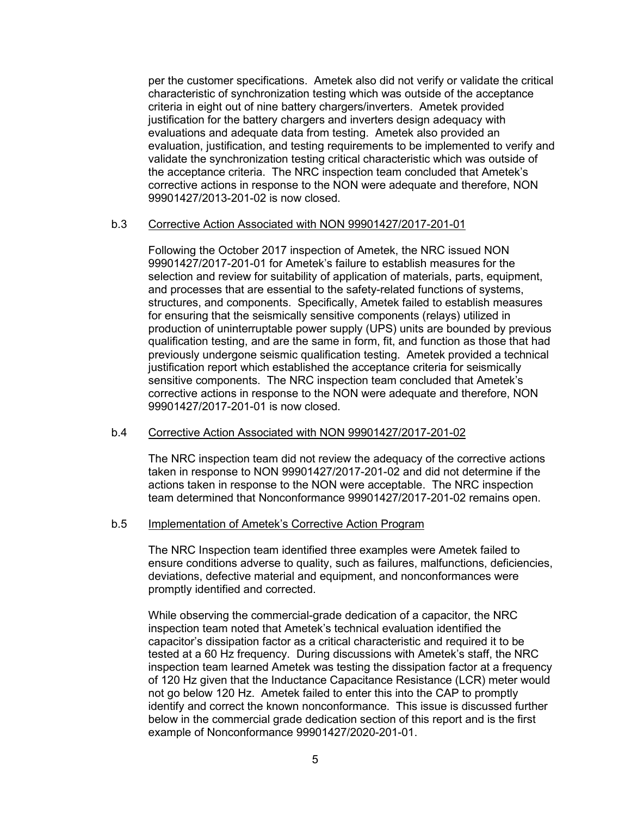per the customer specifications. Ametek also did not verify or validate the critical characteristic of synchronization testing which was outside of the acceptance criteria in eight out of nine battery chargers/inverters. Ametek provided justification for the battery chargers and inverters design adequacy with evaluations and adequate data from testing. Ametek also provided an evaluation, justification, and testing requirements to be implemented to verify and validate the synchronization testing critical characteristic which was outside of the acceptance criteria. The NRC inspection team concluded that Ametek's corrective actions in response to the NON were adequate and therefore, NON 99901427/2013-201-02 is now closed.

#### b.3 Corrective Action Associated with NON 99901427/2017-201-01

Following the October 2017 inspection of Ametek, the NRC issued NON 99901427/2017-201-01 for Ametek's failure to establish measures for the selection and review for suitability of application of materials, parts, equipment, and processes that are essential to the safety-related functions of systems, structures, and components. Specifically, Ametek failed to establish measures for ensuring that the seismically sensitive components (relays) utilized in production of uninterruptable power supply (UPS) units are bounded by previous qualification testing, and are the same in form, fit, and function as those that had previously undergone seismic qualification testing. Ametek provided a technical justification report which established the acceptance criteria for seismically sensitive components. The NRC inspection team concluded that Ametek's corrective actions in response to the NON were adequate and therefore, NON 99901427/2017-201-01 is now closed.

### b.4 Corrective Action Associated with NON 99901427/2017-201-02

The NRC inspection team did not review the adequacy of the corrective actions taken in response to NON 99901427/2017-201-02 and did not determine if the actions taken in response to the NON were acceptable. The NRC inspection team determined that Nonconformance 99901427/2017-201-02 remains open.

#### b.5 Implementation of Ametek's Corrective Action Program

The NRC Inspection team identified three examples were Ametek failed to ensure conditions adverse to quality, such as failures, malfunctions, deficiencies, deviations, defective material and equipment, and nonconformances were promptly identified and corrected.

While observing the commercial-grade dedication of a capacitor, the NRC inspection team noted that Ametek's technical evaluation identified the capacitor's dissipation factor as a critical characteristic and required it to be tested at a 60 Hz frequency. During discussions with Ametek's staff, the NRC inspection team learned Ametek was testing the dissipation factor at a frequency of 120 Hz given that the Inductance Capacitance Resistance (LCR) meter would not go below 120 Hz. Ametek failed to enter this into the CAP to promptly identify and correct the known nonconformance. This issue is discussed further below in the commercial grade dedication section of this report and is the first example of Nonconformance 99901427/2020-201-01.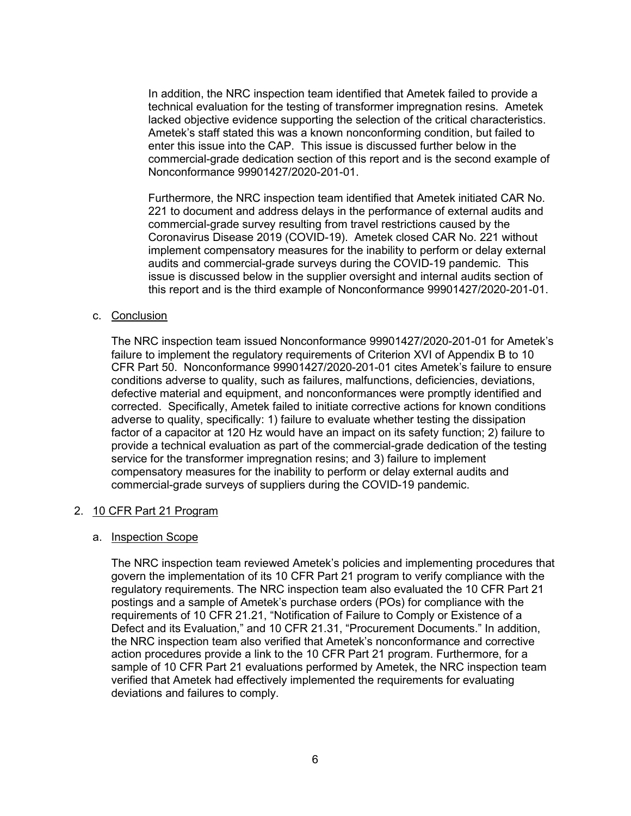In addition, the NRC inspection team identified that Ametek failed to provide a technical evaluation for the testing of transformer impregnation resins. Ametek lacked objective evidence supporting the selection of the critical characteristics. Ametek's staff stated this was a known nonconforming condition, but failed to enter this issue into the CAP. This issue is discussed further below in the commercial-grade dedication section of this report and is the second example of Nonconformance 99901427/2020-201-01.

Furthermore, the NRC inspection team identified that Ametek initiated CAR No. 221 to document and address delays in the performance of external audits and commercial-grade survey resulting from travel restrictions caused by the Coronavirus Disease 2019 (COVID-19). Ametek closed CAR No. 221 without implement compensatory measures for the inability to perform or delay external audits and commercial-grade surveys during the COVID-19 pandemic. This issue is discussed below in the supplier oversight and internal audits section of this report and is the third example of Nonconformance 99901427/2020-201-01.

#### c. Conclusion

The NRC inspection team issued Nonconformance 99901427/2020-201-01 for Ametek's failure to implement the regulatory requirements of Criterion XVI of Appendix B to 10 CFR Part 50. Nonconformance 99901427/2020-201-01 cites Ametek's failure to ensure conditions adverse to quality, such as failures, malfunctions, deficiencies, deviations, defective material and equipment, and nonconformances were promptly identified and corrected. Specifically, Ametek failed to initiate corrective actions for known conditions adverse to quality, specifically: 1) failure to evaluate whether testing the dissipation factor of a capacitor at 120 Hz would have an impact on its safety function; 2) failure to provide a technical evaluation as part of the commercial-grade dedication of the testing service for the transformer impregnation resins; and 3) failure to implement compensatory measures for the inability to perform or delay external audits and commercial-grade surveys of suppliers during the COVID-19 pandemic.

#### 2. 10 CFR Part 21 Program

#### a. Inspection Scope

The NRC inspection team reviewed Ametek's policies and implementing procedures that govern the implementation of its 10 CFR Part 21 program to verify compliance with the regulatory requirements. The NRC inspection team also evaluated the 10 CFR Part 21 postings and a sample of Ametek's purchase orders (POs) for compliance with the requirements of 10 CFR 21.21, "Notification of Failure to Comply or Existence of a Defect and its Evaluation," and 10 CFR 21.31, "Procurement Documents." In addition, the NRC inspection team also verified that Ametek's nonconformance and corrective action procedures provide a link to the 10 CFR Part 21 program. Furthermore, for a sample of 10 CFR Part 21 evaluations performed by Ametek, the NRC inspection team verified that Ametek had effectively implemented the requirements for evaluating deviations and failures to comply.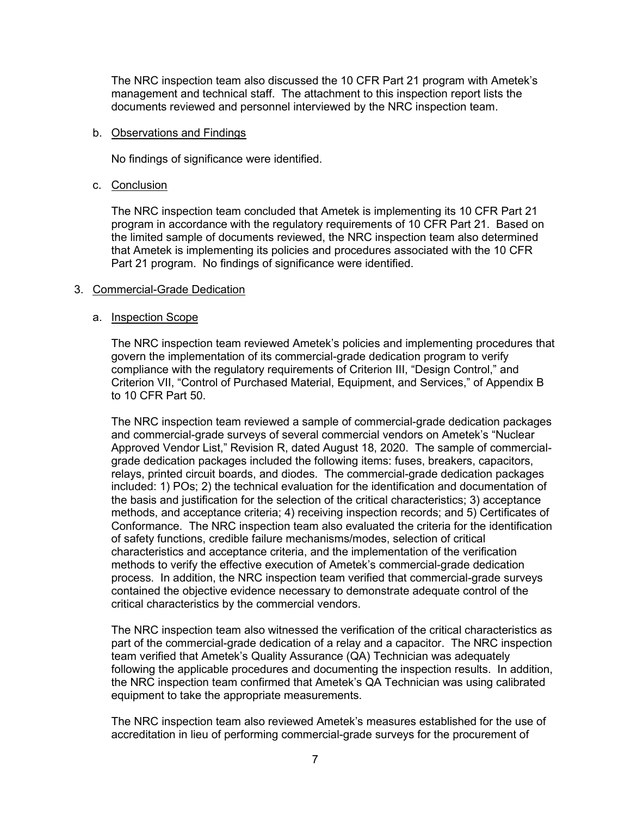The NRC inspection team also discussed the 10 CFR Part 21 program with Ametek's management and technical staff. The attachment to this inspection report lists the documents reviewed and personnel interviewed by the NRC inspection team.

#### b. Observations and Findings

No findings of significance were identified.

### c. Conclusion

The NRC inspection team concluded that Ametek is implementing its 10 CFR Part 21 program in accordance with the regulatory requirements of 10 CFR Part 21. Based on the limited sample of documents reviewed, the NRC inspection team also determined that Ametek is implementing its policies and procedures associated with the 10 CFR Part 21 program. No findings of significance were identified.

#### 3. Commercial-Grade Dedication

#### a. Inspection Scope

The NRC inspection team reviewed Ametek's policies and implementing procedures that govern the implementation of its commercial-grade dedication program to verify compliance with the regulatory requirements of Criterion III, "Design Control," and Criterion VII, "Control of Purchased Material, Equipment, and Services," of Appendix B to 10 CFR Part 50.

The NRC inspection team reviewed a sample of commercial-grade dedication packages and commercial-grade surveys of several commercial vendors on Ametek's "Nuclear Approved Vendor List," Revision R, dated August 18, 2020. The sample of commercialgrade dedication packages included the following items: fuses, breakers, capacitors, relays, printed circuit boards, and diodes. The commercial-grade dedication packages included: 1) POs; 2) the technical evaluation for the identification and documentation of the basis and justification for the selection of the critical characteristics; 3) acceptance methods, and acceptance criteria; 4) receiving inspection records; and 5) Certificates of Conformance. The NRC inspection team also evaluated the criteria for the identification of safety functions, credible failure mechanisms/modes, selection of critical characteristics and acceptance criteria, and the implementation of the verification methods to verify the effective execution of Ametek's commercial-grade dedication process. In addition, the NRC inspection team verified that commercial-grade surveys contained the objective evidence necessary to demonstrate adequate control of the critical characteristics by the commercial vendors.

The NRC inspection team also witnessed the verification of the critical characteristics as part of the commercial-grade dedication of a relay and a capacitor. The NRC inspection team verified that Ametek's Quality Assurance (QA) Technician was adequately following the applicable procedures and documenting the inspection results. In addition, the NRC inspection team confirmed that Ametek's QA Technician was using calibrated equipment to take the appropriate measurements.

The NRC inspection team also reviewed Ametek's measures established for the use of accreditation in lieu of performing commercial-grade surveys for the procurement of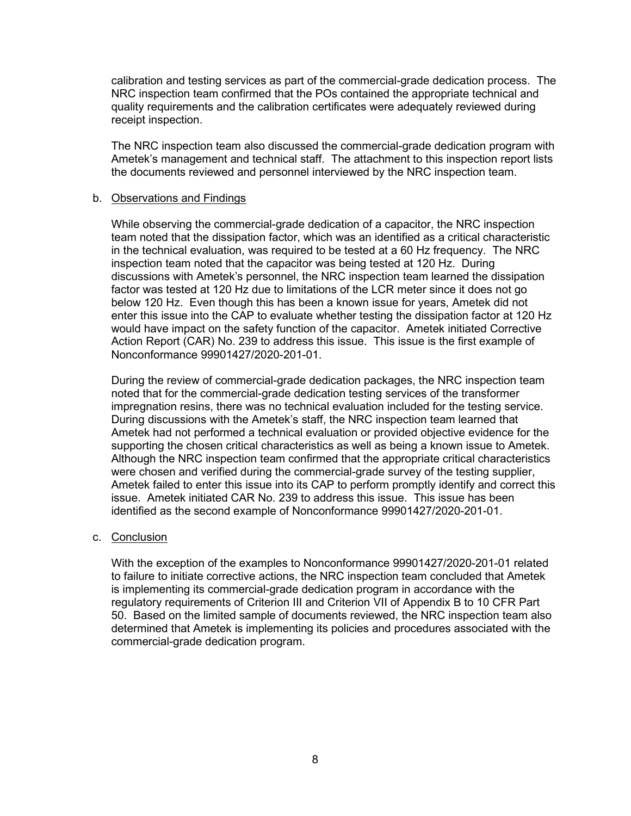calibration and testing services as part of the commercial-grade dedication process. The NRC inspection team confirmed that the POs contained the appropriate technical and quality requirements and the calibration certificates were adequately reviewed during receipt inspection.

The NRC inspection team also discussed the commercial-grade dedication program with Ametek's management and technical staff. The attachment to this inspection report lists the documents reviewed and personnel interviewed by the NRC inspection team.

### b. Observations and Findings

While observing the commercial-grade dedication of a capacitor, the NRC inspection team noted that the dissipation factor, which was an identified as a critical characteristic in the technical evaluation, was required to be tested at a 60 Hz frequency. The NRC inspection team noted that the capacitor was being tested at 120 Hz. During discussions with Ametek's personnel, the NRC inspection team learned the dissipation factor was tested at 120 Hz due to limitations of the LCR meter since it does not go below 120 Hz. Even though this has been a known issue for years, Ametek did not enter this issue into the CAP to evaluate whether testing the dissipation factor at 120 Hz would have impact on the safety function of the capacitor. Ametek initiated Corrective Action Report (CAR) No. 239 to address this issue. This issue is the first example of Nonconformance 99901427/2020-201-01.

During the review of commercial-grade dedication packages, the NRC inspection team noted that for the commercial-grade dedication testing services of the transformer impregnation resins, there was no technical evaluation included for the testing service. During discussions with the Ametek's staff, the NRC inspection team learned that Ametek had not performed a technical evaluation or provided objective evidence for the supporting the chosen critical characteristics as well as being a known issue to Ametek. Although the NRC inspection team confirmed that the appropriate critical characteristics were chosen and verified during the commercial-grade survey of the testing supplier, Ametek failed to enter this issue into its CAP to perform promptly identify and correct this issue. Ametek initiated CAR No. 239 to address this issue. This issue has been identified as the second example of Nonconformance 99901427/2020-201-01.

#### c. Conclusion

With the exception of the examples to Nonconformance 99901427/2020-201-01 related to failure to initiate corrective actions, the NRC inspection team concluded that Ametek is implementing its commercial-grade dedication program in accordance with the regulatory requirements of Criterion III and Criterion VII of Appendix B to 10 CFR Part 50. Based on the limited sample of documents reviewed, the NRC inspection team also determined that Ametek is implementing its policies and procedures associated with the commercial-grade dedication program.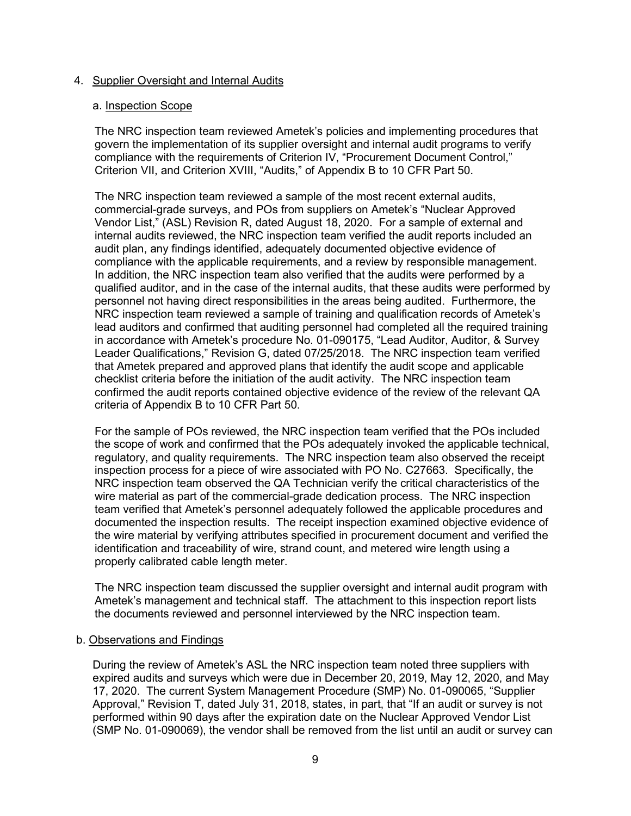## 4. Supplier Oversight and Internal Audits

#### a. Inspection Scope

The NRC inspection team reviewed Ametek's policies and implementing procedures that govern the implementation of its supplier oversight and internal audit programs to verify compliance with the requirements of Criterion IV, "Procurement Document Control," Criterion VII, and Criterion XVIII, "Audits," of Appendix B to 10 CFR Part 50.

The NRC inspection team reviewed a sample of the most recent external audits, commercial-grade surveys, and POs from suppliers on Ametek's "Nuclear Approved Vendor List," (ASL) Revision R, dated August 18, 2020. For a sample of external and internal audits reviewed, the NRC inspection team verified the audit reports included an audit plan, any findings identified, adequately documented objective evidence of compliance with the applicable requirements, and a review by responsible management. In addition, the NRC inspection team also verified that the audits were performed by a qualified auditor, and in the case of the internal audits, that these audits were performed by personnel not having direct responsibilities in the areas being audited. Furthermore, the NRC inspection team reviewed a sample of training and qualification records of Ametek's lead auditors and confirmed that auditing personnel had completed all the required training in accordance with Ametek's procedure No. 01-090175, "Lead Auditor, Auditor, & Survey Leader Qualifications," Revision G, dated 07/25/2018. The NRC inspection team verified that Ametek prepared and approved plans that identify the audit scope and applicable checklist criteria before the initiation of the audit activity. The NRC inspection team confirmed the audit reports contained objective evidence of the review of the relevant QA criteria of Appendix B to 10 CFR Part 50.

For the sample of POs reviewed, the NRC inspection team verified that the POs included the scope of work and confirmed that the POs adequately invoked the applicable technical, regulatory, and quality requirements. The NRC inspection team also observed the receipt inspection process for a piece of wire associated with PO No. C27663. Specifically, the NRC inspection team observed the QA Technician verify the critical characteristics of the wire material as part of the commercial-grade dedication process. The NRC inspection team verified that Ametek's personnel adequately followed the applicable procedures and documented the inspection results. The receipt inspection examined objective evidence of the wire material by verifying attributes specified in procurement document and verified the identification and traceability of wire, strand count, and metered wire length using a properly calibrated cable length meter.

The NRC inspection team discussed the supplier oversight and internal audit program with Ametek's management and technical staff. The attachment to this inspection report lists the documents reviewed and personnel interviewed by the NRC inspection team.

# b. Observations and Findings

During the review of Ametek's ASL the NRC inspection team noted three suppliers with expired audits and surveys which were due in December 20, 2019, May 12, 2020, and May 17, 2020. The current System Management Procedure (SMP) No. 01-090065, "Supplier Approval," Revision T, dated July 31, 2018, states, in part, that "If an audit or survey is not performed within 90 days after the expiration date on the Nuclear Approved Vendor List (SMP No. 01-090069), the vendor shall be removed from the list until an audit or survey can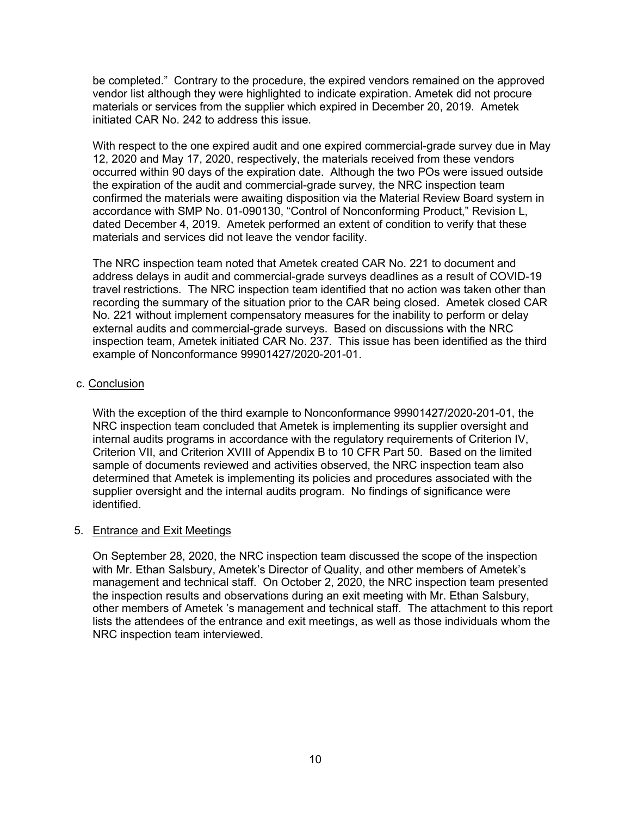be completed." Contrary to the procedure, the expired vendors remained on the approved vendor list although they were highlighted to indicate expiration. Ametek did not procure materials or services from the supplier which expired in December 20, 2019. Ametek initiated CAR No. 242 to address this issue.

With respect to the one expired audit and one expired commercial-grade survey due in May 12, 2020 and May 17, 2020, respectively, the materials received from these vendors occurred within 90 days of the expiration date. Although the two POs were issued outside the expiration of the audit and commercial-grade survey, the NRC inspection team confirmed the materials were awaiting disposition via the Material Review Board system in accordance with SMP No. 01-090130, "Control of Nonconforming Product," Revision L, dated December 4, 2019. Ametek performed an extent of condition to verify that these materials and services did not leave the vendor facility.

The NRC inspection team noted that Ametek created CAR No. 221 to document and address delays in audit and commercial-grade surveys deadlines as a result of COVID-19 travel restrictions. The NRC inspection team identified that no action was taken other than recording the summary of the situation prior to the CAR being closed. Ametek closed CAR No. 221 without implement compensatory measures for the inability to perform or delay external audits and commercial-grade surveys. Based on discussions with the NRC inspection team, Ametek initiated CAR No. 237. This issue has been identified as the third example of Nonconformance 99901427/2020-201-01.

## c. Conclusion

With the exception of the third example to Nonconformance 99901427/2020-201-01, the NRC inspection team concluded that Ametek is implementing its supplier oversight and internal audits programs in accordance with the regulatory requirements of Criterion IV, Criterion VII, and Criterion XVIII of Appendix B to 10 CFR Part 50. Based on the limited sample of documents reviewed and activities observed, the NRC inspection team also determined that Ametek is implementing its policies and procedures associated with the supplier oversight and the internal audits program. No findings of significance were identified.

#### 5. Entrance and Exit Meetings

On September 28, 2020, the NRC inspection team discussed the scope of the inspection with Mr. Ethan Salsbury, Ametek's Director of Quality, and other members of Ametek's management and technical staff. On October 2, 2020, the NRC inspection team presented the inspection results and observations during an exit meeting with Mr. Ethan Salsbury, other members of Ametek 's management and technical staff. The attachment to this report lists the attendees of the entrance and exit meetings, as well as those individuals whom the NRC inspection team interviewed.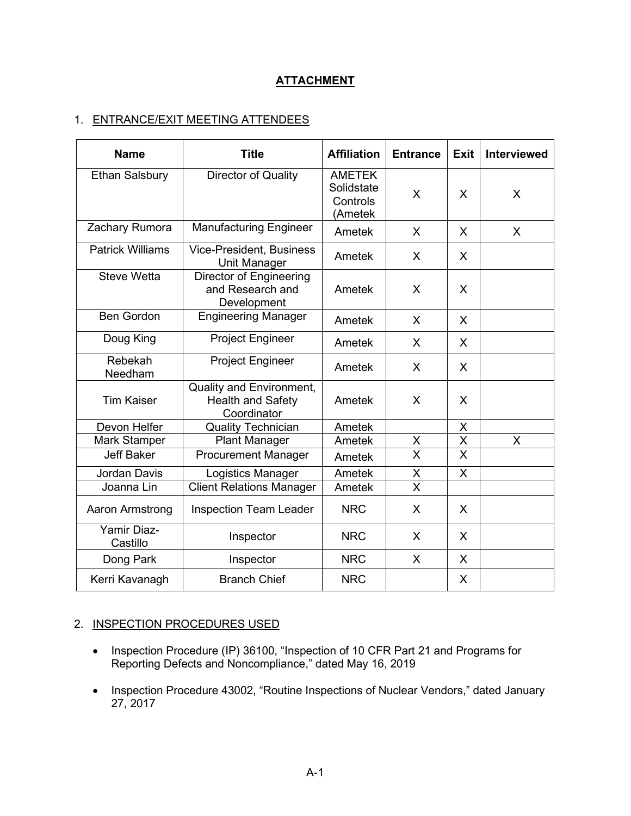# **ATTACHMENT**

# 1. ENTRANCE/EXIT MEETING ATTENDEES

| <b>Name</b>                    | <b>Title</b>                                                        | <b>Affiliation</b>                                 | <b>Entrance</b>         | <b>Exit</b>             | <b>Interviewed</b> |
|--------------------------------|---------------------------------------------------------------------|----------------------------------------------------|-------------------------|-------------------------|--------------------|
| <b>Ethan Salsbury</b>          | Director of Quality                                                 | <b>AMETEK</b><br>Solidstate<br>Controls<br>(Ametek | X                       | X                       | X                  |
| Zachary Rumora                 | <b>Manufacturing Engineer</b>                                       | Ametek                                             | X                       | X                       | X                  |
| <b>Patrick Williams</b>        | <b>Vice-President, Business</b><br><b>Unit Manager</b>              | Ametek                                             | X                       | X                       |                    |
| <b>Steve Wetta</b>             | Director of Engineering<br>and Research and<br>Development          | Ametek                                             | X                       | X                       |                    |
| <b>Ben Gordon</b>              | <b>Engineering Manager</b>                                          | Ametek                                             | X                       | X                       |                    |
| Doug King                      | <b>Project Engineer</b>                                             | Ametek                                             | X                       | X                       |                    |
| Rebekah<br>Needham             | <b>Project Engineer</b>                                             | Ametek                                             | X                       | X                       |                    |
| <b>Tim Kaiser</b>              | Quality and Environment,<br><b>Health and Safety</b><br>Coordinator | Ametek                                             | X                       | X                       |                    |
| Devon Helfer                   | <b>Quality Technician</b>                                           | Ametek                                             |                         | X                       |                    |
| <b>Mark Stamper</b>            | <b>Plant Manager</b>                                                | Ametek                                             | X                       | X                       | X                  |
| <b>Jeff Baker</b>              | <b>Procurement Manager</b>                                          | Ametek                                             | $\overline{\mathsf{x}}$ | $\overline{\mathsf{x}}$ |                    |
| Jordan Davis                   | Logistics Manager                                                   | Ametek                                             | X                       | X                       |                    |
| Joanna Lin                     | <b>Client Relations Manager</b>                                     | Ametek                                             | X                       |                         |                    |
| Aaron Armstrong                | <b>Inspection Team Leader</b>                                       | <b>NRC</b>                                         | X                       | X                       |                    |
| <b>Yamir Diaz-</b><br>Castillo | Inspector                                                           | <b>NRC</b>                                         | X                       | X                       |                    |
| Dong Park                      | Inspector                                                           | <b>NRC</b>                                         | X                       | X                       |                    |
| Kerri Kavanagh                 | <b>Branch Chief</b>                                                 | <b>NRC</b>                                         |                         | X                       |                    |

# 2. INSPECTION PROCEDURES USED

- Inspection Procedure (IP) 36100, "Inspection of 10 CFR Part 21 and Programs for Reporting Defects and Noncompliance," dated May 16, 2019
- Inspection Procedure 43002, "Routine Inspections of Nuclear Vendors," dated January 27, 2017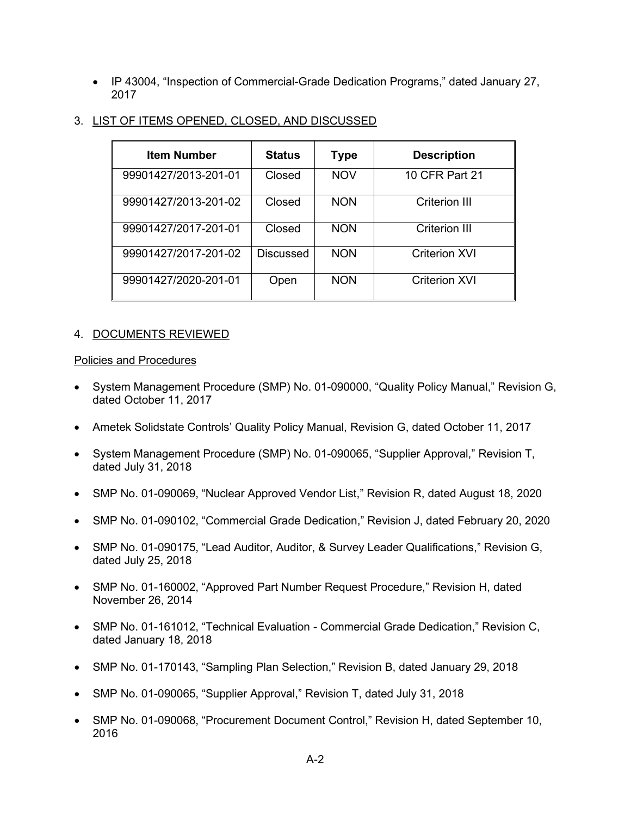• IP 43004, "Inspection of Commercial-Grade Dedication Programs," dated January 27, 2017

| <b>Item Number</b>   | <b>Status</b> | <b>Type</b> | <b>Description</b>   |
|----------------------|---------------|-------------|----------------------|
| 99901427/2013-201-01 | Closed        | <b>NOV</b>  | 10 CFR Part 21       |
| 99901427/2013-201-02 | Closed        | <b>NON</b>  | Criterion III        |
| 99901427/2017-201-01 | Closed        | <b>NON</b>  | Criterion III        |
| 99901427/2017-201-02 | Discussed     | <b>NON</b>  | <b>Criterion XVI</b> |
| 99901427/2020-201-01 | Open          | <b>NON</b>  | Criterion XVI        |

# 3. LIST OF ITEMS OPENED, CLOSED, AND DISCUSSED

# 4. DOCUMENTS REVIEWED

#### Policies and Procedures

- System Management Procedure (SMP) No. 01-090000, "Quality Policy Manual," Revision G, dated October 11, 2017
- Ametek Solidstate Controls' Quality Policy Manual, Revision G, dated October 11, 2017
- System Management Procedure (SMP) No. 01-090065, "Supplier Approval," Revision T, dated July 31, 2018
- SMP No. 01-090069, "Nuclear Approved Vendor List," Revision R, dated August 18, 2020
- SMP No. 01-090102, "Commercial Grade Dedication," Revision J, dated February 20, 2020
- SMP No. 01-090175, "Lead Auditor, Auditor, & Survey Leader Qualifications," Revision G, dated July 25, 2018
- SMP No. 01-160002, "Approved Part Number Request Procedure," Revision H, dated November 26, 2014
- SMP No. 01-161012, "Technical Evaluation Commercial Grade Dedication," Revision C, dated January 18, 2018
- SMP No. 01-170143, "Sampling Plan Selection," Revision B, dated January 29, 2018
- SMP No. 01-090065, "Supplier Approval," Revision T, dated July 31, 2018
- SMP No. 01-090068, "Procurement Document Control," Revision H, dated September 10, 2016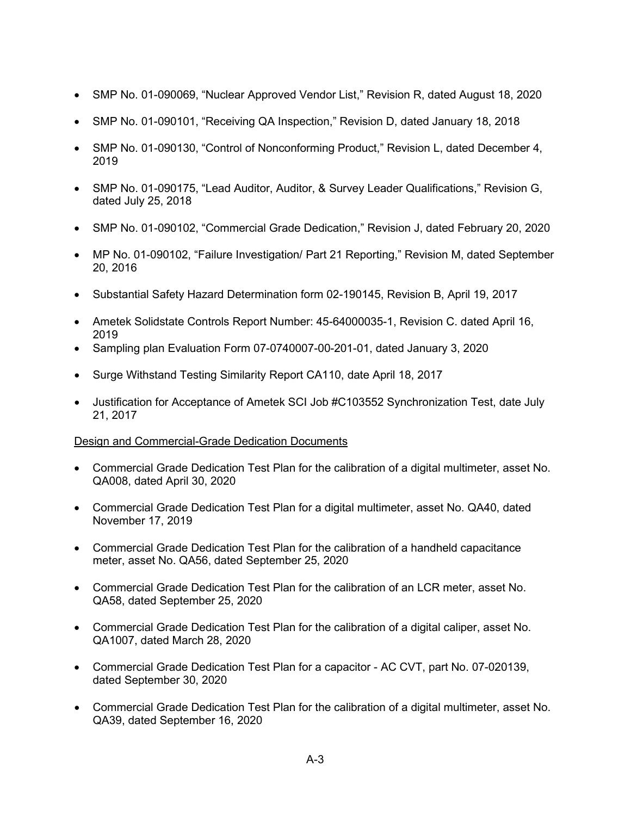- SMP No. 01-090069, "Nuclear Approved Vendor List," Revision R, dated August 18, 2020
- SMP No. 01-090101, "Receiving QA Inspection," Revision D, dated January 18, 2018
- SMP No. 01-090130, "Control of Nonconforming Product," Revision L, dated December 4, 2019
- SMP No. 01-090175, "Lead Auditor, Auditor, & Survey Leader Qualifications," Revision G, dated July 25, 2018
- SMP No. 01-090102, "Commercial Grade Dedication," Revision J, dated February 20, 2020
- MP No. 01-090102, "Failure Investigation/ Part 21 Reporting," Revision M, dated September 20, 2016
- Substantial Safety Hazard Determination form 02-190145, Revision B, April 19, 2017
- Ametek Solidstate Controls Report Number: 45-64000035-1, Revision C. dated April 16, 2019
- Sampling plan Evaluation Form 07-0740007-00-201-01, dated January 3, 2020
- Surge Withstand Testing Similarity Report CA110, date April 18, 2017
- Justification for Acceptance of Ametek SCI Job #C103552 Synchronization Test, date July 21, 2017

# Design and Commercial-Grade Dedication Documents

- Commercial Grade Dedication Test Plan for the calibration of a digital multimeter, asset No. QA008, dated April 30, 2020
- Commercial Grade Dedication Test Plan for a digital multimeter, asset No. QA40, dated November 17, 2019
- Commercial Grade Dedication Test Plan for the calibration of a handheld capacitance meter, asset No. QA56, dated September 25, 2020
- Commercial Grade Dedication Test Plan for the calibration of an LCR meter, asset No. QA58, dated September 25, 2020
- Commercial Grade Dedication Test Plan for the calibration of a digital caliper, asset No. QA1007, dated March 28, 2020
- Commercial Grade Dedication Test Plan for a capacitor AC CVT, part No. 07-020139, dated September 30, 2020
- Commercial Grade Dedication Test Plan for the calibration of a digital multimeter, asset No. QA39, dated September 16, 2020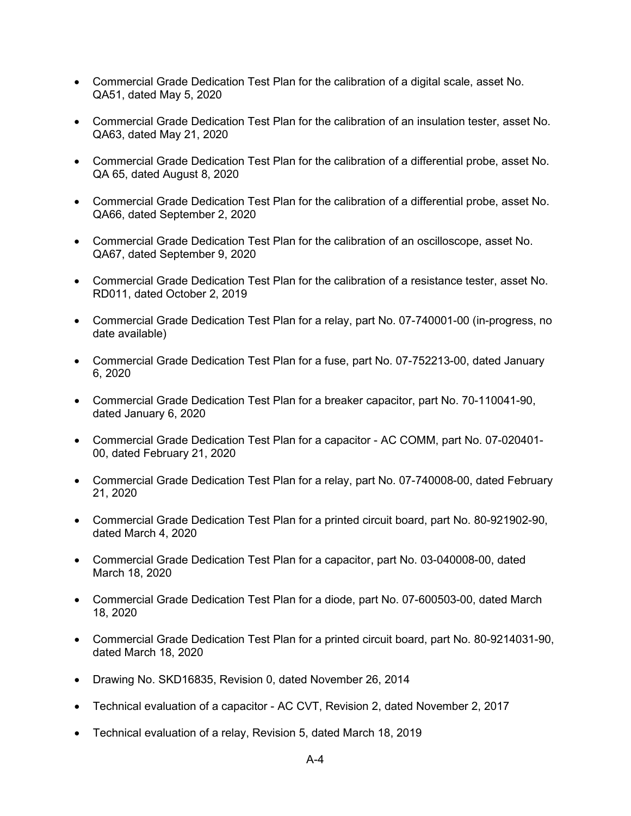- Commercial Grade Dedication Test Plan for the calibration of a digital scale, asset No. QA51, dated May 5, 2020
- Commercial Grade Dedication Test Plan for the calibration of an insulation tester, asset No. QA63, dated May 21, 2020
- Commercial Grade Dedication Test Plan for the calibration of a differential probe, asset No. QA 65, dated August 8, 2020
- Commercial Grade Dedication Test Plan for the calibration of a differential probe, asset No. QA66, dated September 2, 2020
- Commercial Grade Dedication Test Plan for the calibration of an oscilloscope, asset No. QA67, dated September 9, 2020
- Commercial Grade Dedication Test Plan for the calibration of a resistance tester, asset No. RD011, dated October 2, 2019
- Commercial Grade Dedication Test Plan for a relay, part No. 07-740001-00 (in-progress, no date available)
- Commercial Grade Dedication Test Plan for a fuse, part No. 07-752213-00, dated January 6, 2020
- Commercial Grade Dedication Test Plan for a breaker capacitor, part No. 70-110041-90, dated January 6, 2020
- Commercial Grade Dedication Test Plan for a capacitor AC COMM, part No. 07-020401- 00, dated February 21, 2020
- Commercial Grade Dedication Test Plan for a relay, part No. 07-740008-00, dated February 21, 2020
- Commercial Grade Dedication Test Plan for a printed circuit board, part No. 80-921902-90, dated March 4, 2020
- Commercial Grade Dedication Test Plan for a capacitor, part No. 03-040008-00, dated March 18, 2020
- Commercial Grade Dedication Test Plan for a diode, part No. 07-600503-00, dated March 18, 2020
- Commercial Grade Dedication Test Plan for a printed circuit board, part No. 80-9214031-90, dated March 18, 2020
- Drawing No. SKD16835, Revision 0, dated November 26, 2014
- Technical evaluation of a capacitor AC CVT, Revision 2, dated November 2, 2017
- Technical evaluation of a relay, Revision 5, dated March 18, 2019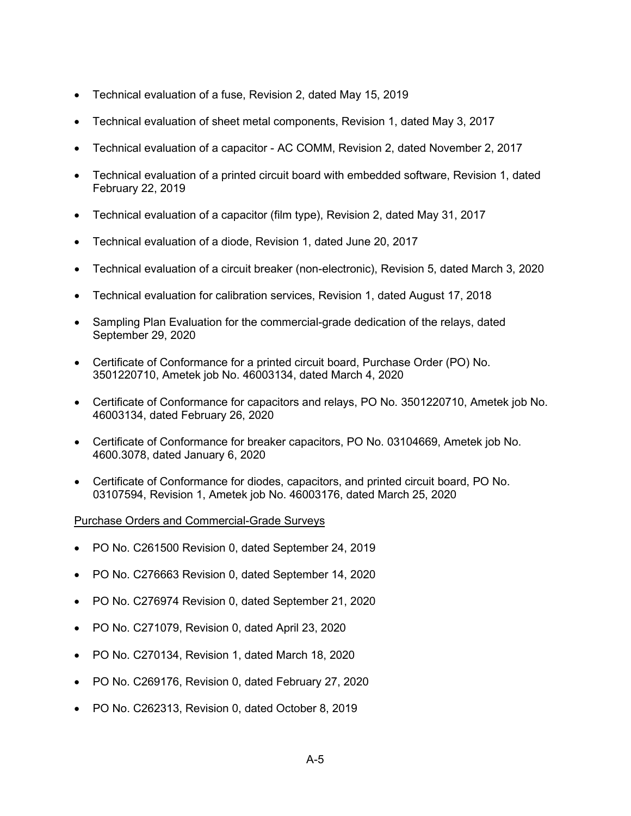- Technical evaluation of a fuse, Revision 2, dated May 15, 2019
- Technical evaluation of sheet metal components, Revision 1, dated May 3, 2017
- Technical evaluation of a capacitor AC COMM, Revision 2, dated November 2, 2017
- Technical evaluation of a printed circuit board with embedded software, Revision 1, dated February 22, 2019
- Technical evaluation of a capacitor (film type), Revision 2, dated May 31, 2017
- Technical evaluation of a diode, Revision 1, dated June 20, 2017
- Technical evaluation of a circuit breaker (non-electronic), Revision 5, dated March 3, 2020
- Technical evaluation for calibration services, Revision 1, dated August 17, 2018
- Sampling Plan Evaluation for the commercial-grade dedication of the relays, dated September 29, 2020
- Certificate of Conformance for a printed circuit board, Purchase Order (PO) No. 3501220710, Ametek job No. 46003134, dated March 4, 2020
- Certificate of Conformance for capacitors and relays, PO No. 3501220710, Ametek job No. 46003134, dated February 26, 2020
- Certificate of Conformance for breaker capacitors, PO No. 03104669, Ametek job No. 4600.3078, dated January 6, 2020
- Certificate of Conformance for diodes, capacitors, and printed circuit board, PO No. 03107594, Revision 1, Ametek job No. 46003176, dated March 25, 2020

# Purchase Orders and Commercial-Grade Surveys

- PO No. C261500 Revision 0, dated September 24, 2019
- PO No. C276663 Revision 0, dated September 14, 2020
- PO No. C276974 Revision 0, dated September 21, 2020
- PO No. C271079, Revision 0, dated April 23, 2020
- PO No. C270134, Revision 1, dated March 18, 2020
- PO No. C269176, Revision 0, dated February 27, 2020
- PO No. C262313, Revision 0, dated October 8, 2019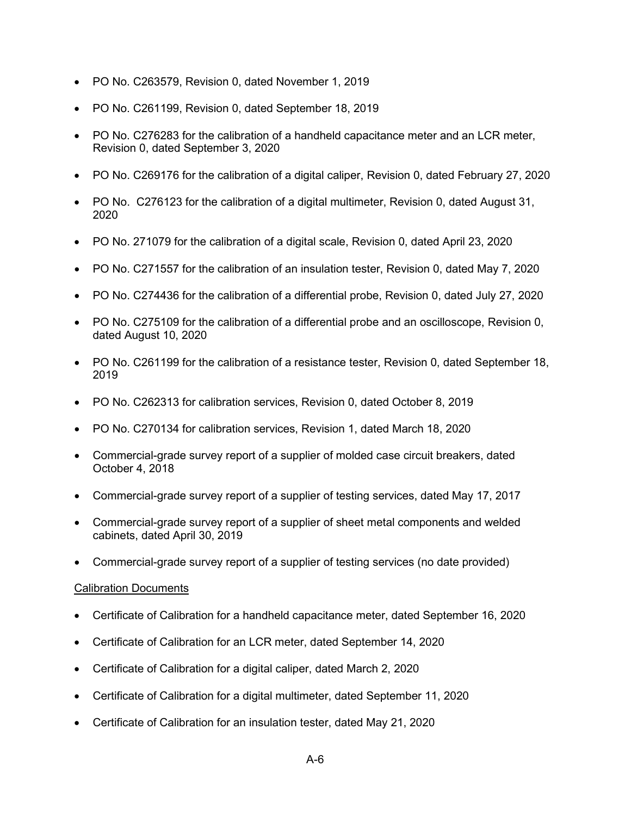- PO No. C263579, Revision 0, dated November 1, 2019
- PO No. C261199, Revision 0, dated September 18, 2019
- PO No. C276283 for the calibration of a handheld capacitance meter and an LCR meter, Revision 0, dated September 3, 2020
- PO No. C269176 for the calibration of a digital caliper, Revision 0, dated February 27, 2020
- PO No. C276123 for the calibration of a digital multimeter, Revision 0, dated August 31, 2020
- PO No. 271079 for the calibration of a digital scale, Revision 0, dated April 23, 2020
- PO No. C271557 for the calibration of an insulation tester, Revision 0, dated May 7, 2020
- PO No. C274436 for the calibration of a differential probe, Revision 0, dated July 27, 2020
- PO No. C275109 for the calibration of a differential probe and an oscilloscope, Revision 0, dated August 10, 2020
- PO No. C261199 for the calibration of a resistance tester, Revision 0, dated September 18, 2019
- PO No. C262313 for calibration services, Revision 0, dated October 8, 2019
- PO No. C270134 for calibration services, Revision 1, dated March 18, 2020
- Commercial-grade survey report of a supplier of molded case circuit breakers, dated October 4, 2018
- Commercial-grade survey report of a supplier of testing services, dated May 17, 2017
- Commercial-grade survey report of a supplier of sheet metal components and welded cabinets, dated April 30, 2019
- Commercial-grade survey report of a supplier of testing services (no date provided)

#### Calibration Documents

- Certificate of Calibration for a handheld capacitance meter, dated September 16, 2020
- Certificate of Calibration for an LCR meter, dated September 14, 2020
- Certificate of Calibration for a digital caliper, dated March 2, 2020
- Certificate of Calibration for a digital multimeter, dated September 11, 2020
- Certificate of Calibration for an insulation tester, dated May 21, 2020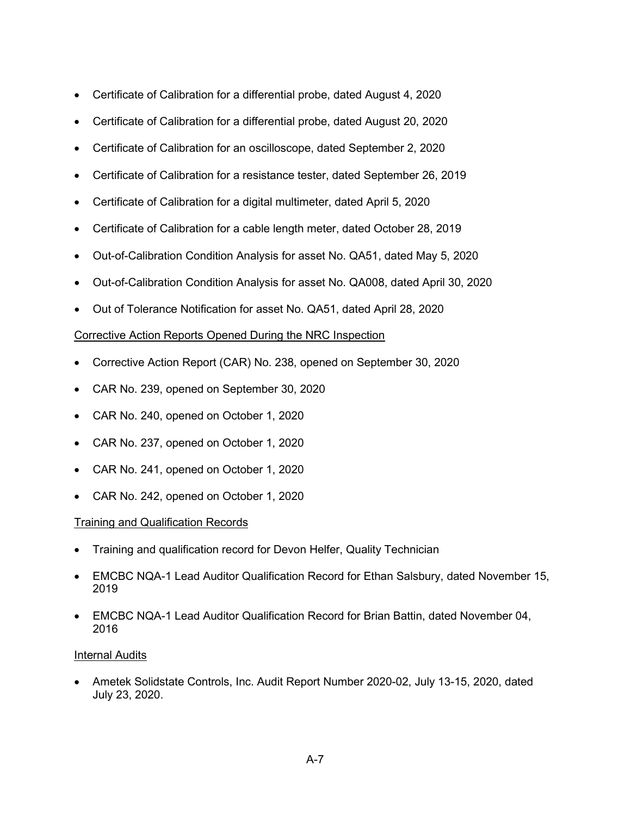- Certificate of Calibration for a differential probe, dated August 4, 2020
- Certificate of Calibration for a differential probe, dated August 20, 2020
- Certificate of Calibration for an oscilloscope, dated September 2, 2020
- Certificate of Calibration for a resistance tester, dated September 26, 2019
- Certificate of Calibration for a digital multimeter, dated April 5, 2020
- Certificate of Calibration for a cable length meter, dated October 28, 2019
- Out-of-Calibration Condition Analysis for asset No. QA51, dated May 5, 2020
- Out-of-Calibration Condition Analysis for asset No. QA008, dated April 30, 2020
- Out of Tolerance Notification for asset No. QA51, dated April 28, 2020

# Corrective Action Reports Opened During the NRC Inspection

- Corrective Action Report (CAR) No. 238, opened on September 30, 2020
- CAR No. 239, opened on September 30, 2020
- CAR No. 240, opened on October 1, 2020
- CAR No. 237, opened on October 1, 2020
- CAR No. 241, opened on October 1, 2020
- CAR No. 242, opened on October 1, 2020

# Training and Qualification Records

- Training and qualification record for Devon Helfer, Quality Technician
- EMCBC NQA-1 Lead Auditor Qualification Record for Ethan Salsbury, dated November 15, 2019
- EMCBC NQA-1 Lead Auditor Qualification Record for Brian Battin, dated November 04, 2016

#### Internal Audits

• Ametek Solidstate Controls, Inc. Audit Report Number 2020-02, July 13-15, 2020, dated July 23, 2020.